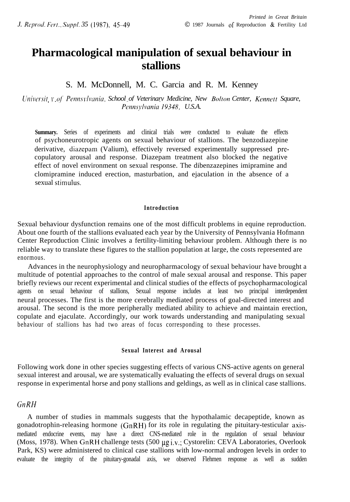# **Pharmacological manipulation of sexual behaviour in stallions**

# S. M. McDonnell, M. C. Garcia and R. M. Kenney

*Universit, y.of Pennsylvania, School of Veterinary Medicine, New Bolton Center, Kennett Square,* Pennsylvania 19348, U.S.A.

**Summary.** Series of experiments and clinical trials were conducted to evaluate the effects of psychoneurotropic agents on sexual behaviour of stallions. The benzodiazepine derivative, diazepam (Valium), effectively reversed experimentally suppressed precopulatory arousal and response. Diazepam treatment also blocked the negative effect of novel environment on sexual response. The dibenzazepines imipramine and clomipramine induced erection, masturbation, and ejaculation in the absence of a sexual stimulus.

#### **Introduction**

Sexual behaviour dysfunction remains one of the most difficult problems in equine reproduction. About one fourth of the stallions evaluated each year by the University of Pennsylvania Hofmann Center Reproduction Clinic involves a fertility-limiting behaviour problem. Although there is no reliable way to translate these figures to the stallion population at large, the costs represented are enormous.

Advances in the neurophysiology and neuropharmacology of sexual behaviour have brought a multitude of potential approaches to the control of male sexual arousal and response. This paper briefly reviews our recent experimental and clinical studies of the effects of psychopharmacological agents on sexual behaviour of stallions, Sexual response includes at least two principal interdependent neural processes. The first is the more cerebrally mediated process of goal-directed interest and arousal. The second is the more peripherally mediated ability to achieve and maintain erection, copulate and ejaculate. Accordingly, our work towards understanding and manipulating sexual behaviour of stallions has had two areas of focus corresponding to these processes.

#### **Sexual Interest and Arousal**

Following work done in other species suggesting effects of various CNS-active agents on general sexual interest and arousal, we are systematically evaluating the effects of several drugs on sexual response in experimental horse and pony stallions and geldings, as well as in clinical case stallions.

# *GnRH*

A number of studies in mammals suggests that the hypothalamic decapeptide, known as gonadotrophin-releasing hormone  $(GnRH)$  for its role in regulating the pituitary-testicular axismediated endocrine events, may have a direct CNS-mediated role in the regulation of sexual behaviour (Moss, 1978). When  $GnRH$  challenge tests (500 µg i.v.; Cystorelin: CEVA Laboratories, Overlook Park, KS) were administered to clinical case stallions with low-normal androgen levels in order to evaluate the integrity of the pituitary-gonadal axis, we observed Flehmen response as well as sudden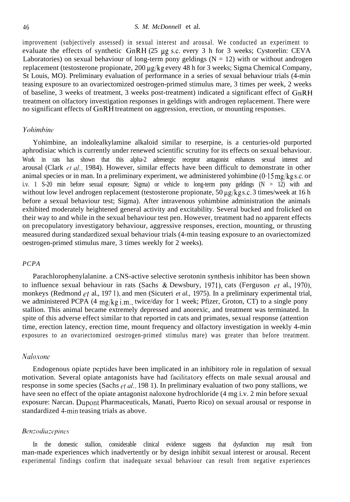improvement (subjectively assessed) in sexual interest and arousal. We conducted an experiment to evaluate the effects of synthetic GnRH (25  $\mu$ g s.c. every 3 h for 3 weeks; Cystorelin: CEVA Laboratories) on sexual behaviour of long-term pony geldings  $(N = 12)$  with or without androgen replacement (testosterone propionate,  $200 \mu g/kg$  every 48 h for 3 weeks; Sigma Chemical Company, St Louis, MO). Preliminary evaluation of performance in a series of sexual behaviour trials (4-min teasing exposure to an ovariectomized oestrogen-primed stimulus mare, 3 times per week, 2 weeks of baseline, 3 weeks of treatment, 3 weeks post-treatment) indicated a significant effect of GnRH treatment on olfactory investigation responses in geldings with androgen replacement. There were no significant effects of GnRH treatment on aggression, erection, or mounting responses.

# *Yohimhine*

Yohimbine, an indolealkylamine alkaloid similar to reserpine, is a centuries-old purported aphrodisiac which is currently under renewed scientific scrutiny for its effects on sexual behaviour. Work in rats has shown that this alpha-2 adrenergic receptor antagonist enhances sexual interest and arousal (Clark et al., 1984). However, similar effects have been difficult to demonstrate in other animal species or in man. In a preliminary experiment, we administered yohimbine  $(0.15 \text{mg/kg s.c. or}$ i.v. 1 S-20 min before sexual exposure; Sigma) or vehicle to long-term pony geldings  $(N = 12)$  with and without low level androgen replacement (testosterone propionate, 50 µg/kg s.c. 3 times/week at 16 h before a sexual behaviour test; Sigma). After intravenous yohimbine administration the animals exhibited moderately heightened general activity and excitability. Several bucked and frolicked on their way to and while in the sexual behaviour test pen. However, treatment had no apparent effects on precopulatory investigatory behaviour, aggressive responses, erection, mounting, or thrusting measured during standardized sexual behaviour trials (4-min teasing exposure to an ovariectomized oestrogen-primed stimulus mare, 3 times weekly for 2 weeks).

# *PCPA*

Parachlorophenylalanine. a CNS-active selective serotonin synthesis inhibitor has been shown to influence sexual behaviour in rats (Sachs & Dewsbury, 1971), cats (Ferguson  $et$  al., 1970), monkeys (Redmond et al., 197 l), and men (Sicuteri *et al.,* 1975). In a preliminary experimental trial, we administered PCPA (4 mg/kg i.m., twice/day for 1 week; Pfizer, Groton, CT) to a single pony stallion. This animal became extremely depressed and anorexic, and treatment was terminated. In spite of this adverse effect similar to that reported in cats and primates, sexual response (attention time, erection latency, erection time, mount frequency and olfactory investigation in weekly 4-min exposures to an ovariectomized oestrogen-primed stimulus mare) was greater than before treatment.

#### **Naloxone**

Endogenous opiate peptides have been implicated in an inhibitory role in regulation of sexual motivation. Several opiate antagonists have had facilitatory effects on male sexual arousal and response in some species (Sachs  $et al., 198 1$ ). In preliminary evaluation of two pony stallions, we have seen no effect of the opiate antagonist naloxone hydrochloride (4 mg i.v. 2 min before sexual exposure: Narcan. Dupont Pharmaceuticals, Manati, Puerto Rico) on sexual arousal or response in standardized 4-min teasing trials as above.

### **Benzodiazepines**

In the domestic stallion, considerable clinical evidence suggests that dysfunction may result from man-made experiences which inadvertently or by design inhibit sexual interest or arousal. Recent experimental findings confirm that inadequate sexual behaviour can result from negative experiences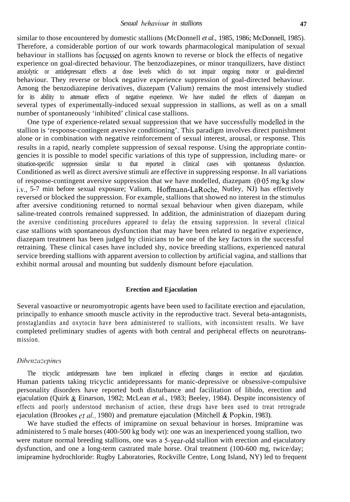similar to those encountered by domestic stallions (McDonnell *et al.,* 1985, 1986; McDonnell, 1985). Therefore, a considerable portion of our work towards pharmacological manipulation of sexual behaviour in stallions has focussed on agents known to reverse or block the effects of negative experience on goal-directed behaviour. The benzodiazepines, or minor tranquilizers, have distinct anxiolytic or antidepressant effects at dose levels which do not impair ongoing motor or goal-directed behaviour. They reverse or block negative experience suppression of goal-directed behaviour. Among the benzodiazepine derivatives, diazepam (Valium) remains the most intensively studied for its ability to attenuate effects of negative experience. We have studied the effects of diazepam on several types of experimentally-induced sexual suppression in stallions, as well as on a small number of spontaneously 'inhibited' clinical case stallions.

One type of experience-related sexual suppression that we have successfully modelled in the stallion is 'response-contingent aversive conditioning'. This paradigm involves direct punishment alone or in combination with negative reinforcement of sexual interest, arousal, or response. This results in a rapid, nearly complete suppression of sexual response. Using the appropriate contingencies it is possible to model specific variations of this type of suppression, including mare- or situation-specific suppression similar to that reported in clinical cases with spontaneous dysfunction. Conditioned as well as direct aversive stimuli are effective in suppressing response. In all variations of response-contingent aversive suppression that we have modelled, diazepam  $(0.05 \text{ mg/kg}$  slow iv., 5-7 min before sexual exposure; Valium, Hoffmann-LaRoche, Nutley, NJ) has effectively reversed or blocked the suppression. For example, stallions that showed no interest in the stimulus after aversive conditioning returned to normal sexual behaviour when given diazepam, while saline-treated controls remained suppressed. In addition, the administration of diazepam during the aversive conditioning procedures appeared to delay the ensuing suppression. In several clinical case stallions with spontaneous dysfunction that may have been related to negative experience, diazepam treatment has been judged by clinicians to be one of the key factors in the successful retraining. These clinical cases have included shy, novice breeding stallions, experienced natural service breeding stallions with apparent aversion to collection by artificial vagina, and stallions that exhibit normal arousal and mounting but suddenly dismount before ejaculation.

#### **Erection and Ejaculation**

Several vasoactive or neuromyotropic agents have been used to facilitate erection and ejaculation, principally to enhance smooth muscle activity in the reproductive tract. Several beta-antagonists, prostaglandins and oxytocin have been administered to stallions, with inconsistent results. We have completed preliminary studies of agents with both central and peripheral effects on neurotransmission.

### **Dibenzazepines**

The tricyclic antidepressants have been implicated in effecting changes in erection and ejaculation. Human patients taking tricyclic antidepressants for manic-depressive or obsessive-compulsive personality disorders have reported both disturbance and facilitation of libido, erection and ejaculation (Quirk & Einarson, 1982; McLean *et* al., 1983; Beeley, 1984). Despite inconsistency of effects and poorly understood mechanism of action, these drugs have been used to treat retrograde ejaculation (Brookes et al., 1980) and premature ejaculation (Mitchell & Popkin, 1983).

We have studied the effects of imipramine on sexual behaviour in horses. Imipramine was administered to 5 male horses (400-500 kg body wt): one was an inexperienced young stallion, two were mature normal breeding stallions, one was a 5-year-old stallion with erection and ejaculatory dysfunction, and one a long-term castrated male horse. Oral treatment (100-600 mg, twice/day; imipramine hydrochloride: Rugby Laboratories, Rockville Centre, Long Island, NY) led to frequent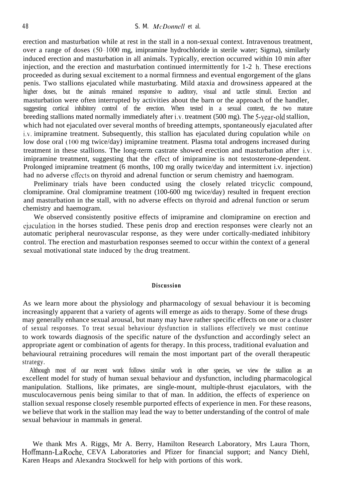#### *4 8 S. M. Mc~Donnell* et al.

erection and masturbation while at rest in the stall in a non-sexual context. Intravenous treatment, over a range of doses  $(50-1000 \text{ mg})$ , imipramine hydrochloride in sterile water; Sigma), similarly induced erection and masturbation in all animals. Typically, erection occurred within 10 min after injection, and the erection and masturbation continued intermittently for 1-2 h. These erections proceeded as during sexual excitement to a normal firmness and eventual engorgement of the glans penis. Two stallions ejaculated while masturbating. Mild ataxia and drowsiness appeared at the higher doses, but the animals remained responsive to auditory, visual and tactile stimuli. Erection and masturbation were often interrupted by activities about the barn or the approach of the handler, suggesting cortical inhibitory control of the erection. When tested in a sexual context, the two mature breeding stallions mated normally immediately after i.v. treatment (500 mg). The 5-year-old stallion, which had not ejaculated over several months of breeding attempts, spontaneously ejaculated after i.v. imipramine treatment. Subsequently, this stallion has ejaculated during copulation while **on** low dose oral (100 mg twice/day) imipramine treatment. Plasma total androgens increased during treatment in these stallions. The long-term castrate showed erection and masturbation after i.v. imipramine treatment, suggesting that the effect of imipramine is not testosterone-dependent. Prolonged imipramine treatment (6 months, 100 mg orally twice/day and intermittent i.v. injection) had no adverse effects on thyroid and adrenal function or serum chemistry and haemogram.

Preliminary trials have been conducted using the closely related tricyclic compound, clomipramine. Oral clomipramine treatment (100-600 mg twice/day) resulted in frequent erection and masturbation in the stall, with no adverse effects on thyroid and adrenal function or serum chemistry and haemogram.

We observed consistently positive effects of imipramine and clomipramine on erection and ejaculation in the horses studied. These penis drop and erection responses were clearly not an automatic peripheral neurovascular response, as they were under cortically-mediated inhibitory control. The erection and masturbation responses seemed to occur within the context of a general sexual motivational state induced by the drug treatment.

#### **Discussion**

As we learn more about the physiology and pharmacology of sexual behaviour it is becoming increasingly apparent that a variety of agents will emerge as aids to therapy. Some of these drugs may generally enhance sexual arousal, but many may have rather specific effects on one or a cluster of sexual responses. To treat sexual behaviour dysfunction in stallions effectively we must continue to work towards diagnosis of the specific nature of the dysfunction and accordingly select an appropriate agent or combination of agents for therapy. In this process, traditional evaluation and behavioural retraining procedures will remain the most important part of the overall therapeutic strategy.

Although most of our recent work follows similar work in other species, we view the stallion as an excellent model for study of human sexual behaviour and dysfunction, including pharmacological manipulation. Stallions, like primates, are single-mount, multiple-thrust ejaculators, with the musculocavernous penis being similar to that of man. In addition, the effects of experience on stallion sexual response closely resemble purported effects of experience in men. For these reasons, we believe that work in the stallion may lead the way to better understanding of the control of male sexual behaviour in mammals in general.

We thank Mrs A. Riggs, Mr A. Berry, Hamilton Research Laboratory, Mrs Laura Thorn, Hoffmann-LaRoche, CEVA Laboratories and Pfizer for financial support; and Nancy Diehl, Karen Heaps and Alexandra Stockwell for help with portions of this work.